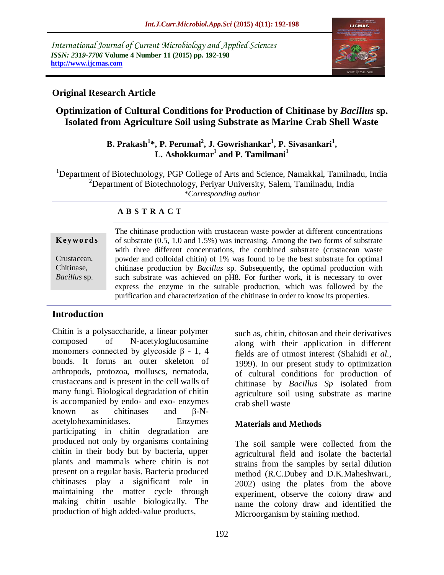*International Journal of Current Microbiology and Applied Sciences ISSN: 2319-7706* **Volume 4 Number 11 (2015) pp. 192-198 http://www.ijcmas.com** 



# **Original Research Article**

# **Optimization of Cultural Conditions for Production of Chitinase by** *Bacillus* **sp. Isolated from Agriculture Soil using Substrate as Marine Crab Shell Waste**

# **B. Prakash<sup>1</sup> \*, P. Perumal<sup>2</sup> , J. Gowrishankar<sup>1</sup> , P. Sivasankari<sup>1</sup> , L. Ashokkumar<sup>1</sup> and P. Tamilmani<sup>1</sup>**

<sup>1</sup>Department of Biotechnology, PGP College of Arts and Science, Namakkal, Tamilnadu, India <sup>2</sup>Department of Biotechnology, Periyar University, Salem, Tamilnadu, India *\*Corresponding author*

# **A B S T R A C T**

**K ey w o rd s** Crustacean, Chitinase*, Bacillus* sp.

The chitinase production with crustacean waste powder at different concentrations of substrate (0.5, 1.0 and 1.5%) was increasing. Among the two forms of substrate with three different concentrations, the combined substrate (crustacean waste powder and colloidal chitin) of 1% was found to be the best substrate for optimal chitinase production by *Bacillus* sp. Subsequently, the optimal production with such substrate was achieved on pH8. For further work, it is necessary to over express the enzyme in the suitable production, which was followed by the purification and characterization of the chitinase in order to know its properties.

# **Introduction**

Chitin is a polysaccharide, a linear polymer composed of N-acetyloglucosamine monomers connected by glycoside  $\beta$  - 1, 4 bonds. It forms an outer skeleton of arthropods, protozoa, molluscs, nematoda, crustaceans and is present in the cell walls of many fungi. Biological degradation of chitin is accompanied by endo- and exo- enzymes known as chitinases and β-Nacetylohexaminidases. Enzymes participating in chitin degradation are produced not only by organisms containing chitin in their body but by bacteria, upper plants and mammals where chitin is not present on a regular basis. Bacteria produced chitinases play a significant role in maintaining the matter cycle through making chitin usable biologically. The production of high added-value products,

such as, chitin, chitosan and their derivatives along with their application in different fields are of utmost interest (Shahidi *et al.,* 1999). In our present study to optimization of cultural conditions for production of chitinase by *Bacillus Sp* isolated from agriculture soil using substrate as marine crab shell waste

# **Materials and Methods**

The soil sample were collected from the agricultural field and isolate the bacterial strains from the samples by serial dilution method (R.C.Dubey and D.K.Maheshwari., 2002) using the plates from the above experiment, observe the colony draw and name the colony draw and identified the Microorganism by staining method.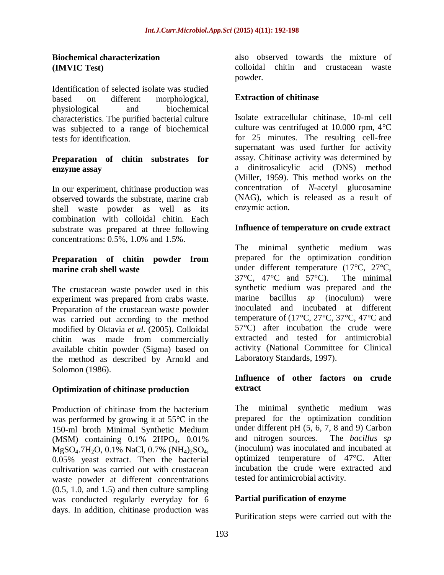#### **Biochemical characterization (IMVIC Test)**

Identification of selected isolate was studied based on different morphological, physiological and biochemical characteristics. The purified bacterial culture was subjected to a range of biochemical tests for identification.

#### **Preparation of chitin substrates for enzyme assay**

In our experiment, chitinase production was observed towards the substrate, marine crab shell waste powder as well as its combination with colloidal chitin. Each substrate was prepared at three following concentrations: 0.5%, 1.0% and 1.5%.

# **Preparation of chitin powder from marine crab shell waste**

The crustacean waste powder used in this experiment was prepared from crabs waste. Preparation of the crustacean waste powder was carried out according to the method modified by Oktavia *et al.* (2005). Colloidal chitin was made from commercially available chitin powder (Sigma) based on the method as described by Arnold and Solomon (1986).

# **Optimization of chitinase production**

Production of chitinase from the bacterium was performed by growing it at 55°C in the 150-ml broth Minimal Synthetic Medium (MSM) containing 0.1% 2HPO<sub>4</sub>, 0.01% MgSO<sub>4</sub>.7H<sub>2</sub>O, 0.1% NaCl, 0.7% (NH<sub>4</sub>)<sub>2</sub>SO<sub>4</sub>, 0.05% yeast extract. Then the bacterial cultivation was carried out with crustacean waste powder at different concentrations (0.5, 1.0, and 1.5) and then culture sampling was conducted regularly everyday for 6 days. In addition, chitinase production was

also observed towards the mixture of colloidal chitin and crustacean waste powder.

# **Extraction of chitinase**

Isolate extracellular chitinase, 10-ml cell culture was centrifuged at 10.000 rpm, 4°C for 25 minutes. The resulting cell-free supernatant was used further for activity assay. Chitinase activity was determined by a dinitrosalicylic acid (DNS) method (Miller, 1959). This method works on the concentration of *N*-acetyl glucosamine (NAG), which is released as a result of enzymic action.

#### **Influence of temperature on crude extract**

The minimal synthetic medium was prepared for the optimization condition under different temperature (17°C, 27°C, 37°C, 47°C and 57°C). The minimal synthetic medium was prepared and the marine bacillus *sp* (inoculum) were inoculated and incubated at different temperature of (17 $\textdegree$ C, 27 $\textdegree$ C, 37 $\textdegree$ C, 47 $\textdegree$ C and 57°C) after incubation the crude were extracted and tested for antimicrobial activity (National Committee for Clinical Laboratory Standards, 1997).

#### **Influence of other factors on crude extract**

The minimal synthetic medium was prepared for the optimization condition under different pH (5, 6, 7, 8 and 9) Carbon and nitrogen sources. The *bacillus sp*  (inoculum) was inoculated and incubated at optimized temperature of 47°C. After incubation the crude were extracted and tested for antimicrobial activity.

# **Partial purification of enzyme**

Purification steps were carried out with the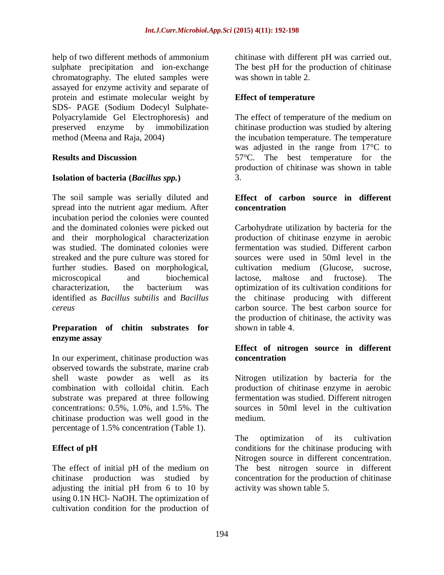help of two different methods of ammonium sulphate precipitation and ion-exchange chromatography. The eluted samples were assayed for enzyme activity and separate of protein and estimate molecular weight by SDS- PAGE (Sodium Dodecyl Sulphate-Polyacrylamide Gel Electrophoresis) and preserved enzyme by immobilization method (Meena and Raja, 2004)

# **Results and Discussion**

#### **Isolation of bacteria (***Bacillus spp.***)**

The soil sample was serially diluted and spread into the nutrient agar medium. After incubation period the colonies were counted and the dominated colonies were picked out and their morphological characterization was studied. The dominated colonies were streaked and the pure culture was stored for further studies. Based on morphological, microscopical and biochemical characterization, the bacterium was identified as *Bacillus subtilis* and *Bacillus cereus* 

#### **Preparation of chitin substrates for enzyme assay**

In our experiment, chitinase production was observed towards the substrate, marine crab shell waste powder as well as its combination with colloidal chitin. Each substrate was prepared at three following concentrations: 0.5%, 1.0%, and 1.5%. The chitinase production was well good in the percentage of 1.5% concentration (Table 1).

# **Effect of pH**

The effect of initial pH of the medium on chitinase production was studied by adjusting the initial pH from 6 to 10 by using 0.1N HCl- NaOH. The optimization of cultivation condition for the production of chitinase with different pH was carried out. The best pH for the production of chitinase was shown in table 2.

#### **Effect of temperature**

The effect of temperature of the medium on chitinase production was studied by altering the incubation temperature. The temperature was adjusted in the range from 17°C to 57°C. The best temperature for the production of chitinase was shown in table 3.

#### **Effect of carbon source in different concentration**

Carbohydrate utilization by bacteria for the production of chitinase enzyme in aerobic fermentation was studied. Different carbon sources were used in 50ml level in the cultivation medium (Glucose, sucrose, lactose, maltose and fructose). The optimization of its cultivation conditions for the chitinase producing with different carbon source. The best carbon source for the production of chitinase, the activity was shown in table 4.

# **Effect of nitrogen source in different concentration**

Nitrogen utilization by bacteria for the production of chitinase enzyme in aerobic fermentation was studied. Different nitrogen sources in 50ml level in the cultivation medium.

The optimization of its cultivation conditions for the chitinase producing with Nitrogen source in different concentration. The best nitrogen source in different concentration for the production of chitinase activity was shown table 5.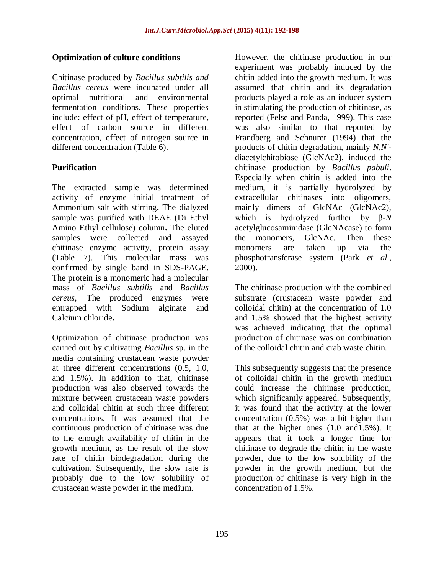#### **Optimization of culture conditions**

Chitinase produced by *Bacillus subtilis and Bacillus cereus* were incubated under all optimal nutritional and environmental fermentation conditions. These properties include: effect of pH, effect of temperature, effect of carbon source in different concentration, effect of nitrogen source in different concentration (Table 6).

# **Purification**

The extracted sample was determined activity of enzyme initial treatment of Ammonium salt with stirring**.** The dialyzed sample was purified with DEAE (Di Ethyl Amino Ethyl cellulose) column**.** The eluted samples were collected and assayed chitinase enzyme activity, protein assay (Table 7). This molecular mass was confirmed by single band in SDS-PAGE. The protein is a monomeric had a molecular mass of *Bacillus subtilis* and *Bacillus cereus,* The produced enzymes were entrapped with Sodium alginate and Calcium chloride**.**

Optimization of chitinase production was carried out by cultivating *Bacillus* sp. in the media containing crustacean waste powder at three different concentrations (0.5, 1.0, and 1.5%). In addition to that, chitinase production was also observed towards the mixture between crustacean waste powders and colloidal chitin at such three different concentrations. It was assumed that the continuous production of chitinase was due to the enough availability of chitin in the growth medium, as the result of the slow rate of chitin biodegradation during the cultivation. Subsequently, the slow rate is probably due to the low solubility of crustacean waste powder in the medium.

However, the chitinase production in our experiment was probably induced by the chitin added into the growth medium. It was assumed that chitin and its degradation products played a role as an inducer system in stimulating the production of chitinase, as reported (Felse and Panda, 1999). This case was also similar to that reported by Frandberg and Schnurer (1994) that the products of chitin degradation, mainly *N,N'* diacetylchitobiose (GlcNAc2), induced the chitinase production by *Bacillus pabuli*. Especially when chitin is added into the medium, it is partially hydrolyzed by extracellular chitinases into oligomers, mainly dimers of GlcNAc (GlcNAc2), which is hydrolyzed further by β-*N* acetylglucosaminidase (GlcNAcase) to form the monomers, GlcNAc. Then these monomers are taken up via the phosphotransferase system (Park *et al.,* 2000).

The chitinase production with the combined substrate (crustacean waste powder and colloidal chitin) at the concentration of 1.0 and 1.5% showed that the highest activity was achieved indicating that the optimal production of chitinase was on combination of the colloidal chitin and crab waste chitin.

This subsequently suggests that the presence of colloidal chitin in the growth medium could increase the chitinase production, which significantly appeared. Subsequently, it was found that the activity at the lower concentration (0.5%) was a bit higher than that at the higher ones  $(1.0 \text{ and } 1.5\%)$ . It appears that it took a longer time for chitinase to degrade the chitin in the waste powder, due to the low solubility of the powder in the growth medium, but the production of chitinase is very high in the concentration of 1.5%.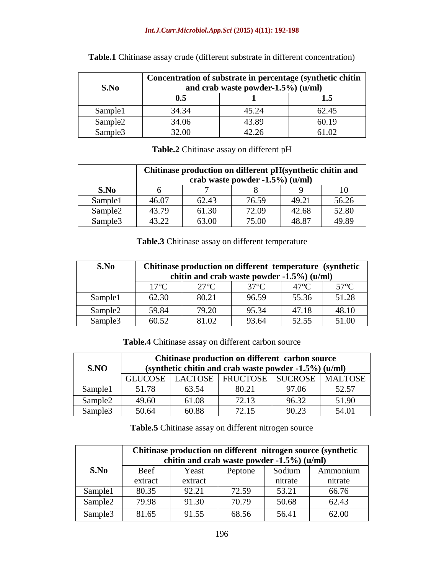#### *Int.J.Curr.Microbiol.App.Sci* **(2015) 4(11): 192-198**

| S.No                | Concentration of substrate in percentage (synthetic chitin<br>and crab waste powder- $1.5\%$ ) (u/ml) |       |       |  |  |
|---------------------|-------------------------------------------------------------------------------------------------------|-------|-------|--|--|
|                     | 0.5                                                                                                   |       | 1.5   |  |  |
| Sample1             | 34.34                                                                                                 | 45.24 | 62.45 |  |  |
| Sample <sub>2</sub> | 34.06                                                                                                 | 43.89 | 60.19 |  |  |
| Sample <sub>3</sub> | 32.00                                                                                                 | 12.26 | .02   |  |  |

**Table.1** Chitinase assay crude (different substrate in different concentration)

| Table.2 Chitinase assay on different pH |  |  |  |  |  |
|-----------------------------------------|--|--|--|--|--|
|-----------------------------------------|--|--|--|--|--|

|                     | Chitinase production on different pH(synthetic chitin and<br>crab waste powder -1.5%) (u/ml) |       |       |       |       |
|---------------------|----------------------------------------------------------------------------------------------|-------|-------|-------|-------|
| S.No                |                                                                                              |       |       |       |       |
| Sample1             | 46.07                                                                                        | 62.43 | 76.59 | 49.21 | 56.26 |
| Sample <sub>2</sub> | 43.79                                                                                        | 61.30 | 72.09 | 42.68 | 52.80 |
| Sample <sub>3</sub> | 43.22                                                                                        | 63.00 | 75.00 | 48 R7 | 19.89 |

**Table.3** Chitinase assay on different temperature

| S.No                | Chitinase production on different temperature (synthetic) |                |                |                |                |
|---------------------|-----------------------------------------------------------|----------------|----------------|----------------|----------------|
|                     | chitin and crab waste powder -1.5%) (u/ml)                |                |                |                |                |
|                     | $17^{\circ}$ C                                            | $27^{\circ}$ C | $37^{\circ}$ C | $47^{\circ}$ C | $57^{\circ}$ C |
| Sample1             | 62.30                                                     | 80.21          | 96.59          | 55.36          | 51.28          |
| Sample <sub>2</sub> | 59.84                                                     | 79.20          | 95.34          | 47.18          | 48.10          |
| Sample <sub>3</sub> | 60.52                                                     | 81.02          | 93.64          | 52.55          | 51.00          |

**Table.4** Chitinase assay on different carbon source

| S.NO                | Chitinase production on different carbon source<br>(synthetic chitin and crab waste powder -1.5%) (u/ml) |       |                                                  |       |       |  |
|---------------------|----------------------------------------------------------------------------------------------------------|-------|--------------------------------------------------|-------|-------|--|
|                     |                                                                                                          |       | GLUCOSE   LACTOSE   FRUCTOSE   SUCROSE   MALTOSE |       |       |  |
| Sample1             | 51.78                                                                                                    | 63.54 | 80.21                                            | 97.06 | 52.57 |  |
| Sample <sub>2</sub> | 49.60                                                                                                    | 61.08 | 72.13                                            | 96.32 | 51.90 |  |
| Sample <sub>3</sub> | 50.64                                                                                                    | 60.88 | 72.15                                            | 90.23 | 54.01 |  |

Table.5 Chitinase assay on different nitrogen source

|                     | Chitinase production on different nitrogen source (synthetic<br>chitin and crab waste powder -1.5%) (u/ml) |         |         |         |          |
|---------------------|------------------------------------------------------------------------------------------------------------|---------|---------|---------|----------|
| S.No                | Beef                                                                                                       | Yeast   | Peptone | Sodium  | Ammonium |
|                     | extract                                                                                                    | extract |         | nitrate | nitrate  |
| Sample1             | 80.35                                                                                                      | 92.21   | 72.59   | 53.21   | 66.76    |
| Sample <sub>2</sub> | 79.98                                                                                                      | 91.30   | 70.79   | 50.68   | 62.43    |
| Sample <sub>3</sub> | 81.65                                                                                                      | 91.55   | 68.56   | 56.41   | 62.00    |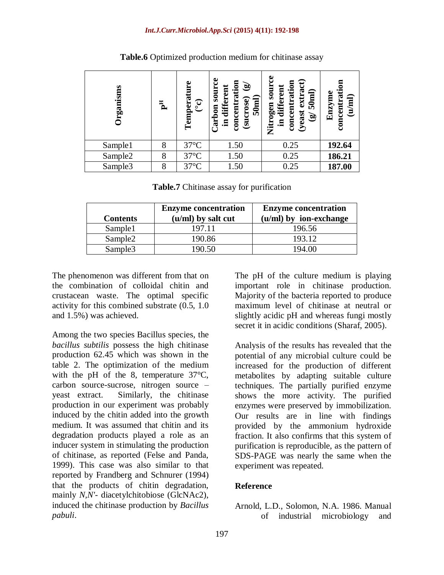| rganisms | $\mathbf{F}$ | ω<br>$\begin{array}{c} \textbf{Temperature} \ (^\circ\textbf{c}) \end{array}$ | ပ္ပ<br>concentration<br>$\mathbf{\hat{a}}$<br><b>SOUIT</b><br>in different<br>50 <sub>nnl</sub><br>(sucrose)<br>arbon | ဗ<br>extract)<br>concentration<br><b>unos uaßo</b><br>different<br>50 <sub>nnl</sub><br>(yeast<br>$\widehat{\mathbf{e}}$<br>트.<br><b>E</b><br>Zitr | concentrati<br>Enzyme<br>(u/ml) |
|----------|--------------|-------------------------------------------------------------------------------|-----------------------------------------------------------------------------------------------------------------------|----------------------------------------------------------------------------------------------------------------------------------------------------|---------------------------------|
| Sample1  | 8            | $37^{\circ}$ C                                                                | 1.50                                                                                                                  | 0.25                                                                                                                                               | 192.64                          |
| Sample2  | 8            | $37^{\circ}$ C                                                                | 1.50                                                                                                                  | 0.25                                                                                                                                               | 186.21                          |
| Sample3  | 8            | $37^{\circ}$ C                                                                | 1.50                                                                                                                  | 0.25                                                                                                                                               | 187.00                          |

**Table.6** Optimized production medium for chitinase assay

**Table.7** Chitinase assay for purification

|                     | <b>Enzyme concentration</b> | <b>Enzyme concentration</b> |
|---------------------|-----------------------------|-----------------------------|
| <b>Contents</b>     | (u/ml) by salt cut          | (u/ml) by ion-exchange      |
| Sample1             | 197.11                      | 196.56                      |
| Sample <sub>2</sub> | 190.86                      | 193.12                      |
| Sample <sub>3</sub> | 190.50                      | 194.00                      |

The phenomenon was different from that on the combination of colloidal chitin and crustacean waste. The optimal specific activity for this combined substrate (0.5, 1.0 and 1.5%) was achieved.

Among the two species Bacillus species, the *bacillus subtilis* possess the high chitinase production 62.45 which was shown in the table 2. The optimization of the medium with the pH of the 8, temperature 37°C, carbon source-sucrose, nitrogen source – yeast extract. Similarly, the chitinase production in our experiment was probably induced by the chitin added into the growth medium. It was assumed that chitin and its degradation products played a role as an inducer system in stimulating the production of chitinase, as reported (Felse and Panda, 1999). This case was also similar to that reported by Frandberg and Schnurer (1994) that the products of chitin degradation, mainly *N,N'*- diacetylchitobiose (GlcNAc2), induced the chitinase production by *Bacillus pabuli*.

The pH of the culture medium is playing important role in chitinase production. Majority of the bacteria reported to produce maximum level of chitinase at neutral or slightly acidic pH and whereas fungi mostly secret it in acidic conditions (Sharaf, 2005).

Analysis of the results has revealed that the potential of any microbial culture could be increased for the production of different metabolites by adapting suitable culture techniques. The partially purified enzyme shows the more activity. The purified enzymes were preserved by immobilization. Our results are in line with findings provided by the ammonium hydroxide fraction. It also confirms that this system of purification is reproducible, as the pattern of SDS-PAGE was nearly the same when the experiment was repeated.

# **Reference**

Arnold, L.D., Solomon, N.A. 1986. Manual of industrial microbiology and